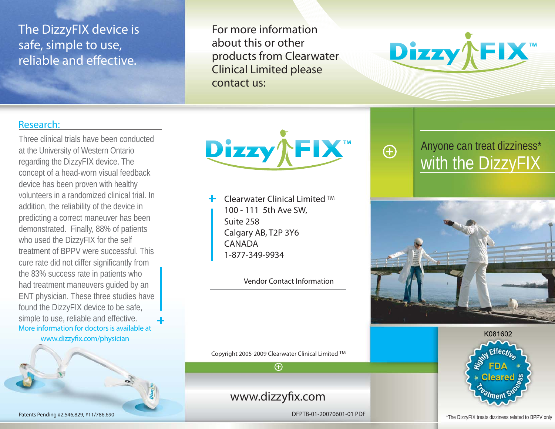## The DizzyFIX device is safe, simple to use, reliable and effective.

For more information about this or other products from Clearwater Clinical Limited please contact us:



#### Research:

Three clinical trials have been conducted at the University of Western Ontario regarding the DizzyFIX device. The concept of a head-worn visual feedback device has been proven with healthy volunteers in a randomized clinical trial. In addition, the reliability of the device in predicting a correct maneuver has been demonstrated. Finally, 88% of patients who used the DizzyFIX for the self treatment of BPPV were successful. This cure rate did not differ significantly from the 83% success rate in patients who had treatment maneuvers guided by an ENT physician. These three studies have found the DizzyFIX device to be safe, simple to use, reliable and effective. More information for doctors is available atwww.dizzyfix.com/physician

Dizzy **FIX** 

Clearwater Clinical Limited TM 100 - 111 5th Ave SW, Suite 258Calgary AB, T2P 3Y6 CANADA1-877-349-9934

Vendor Contact Information

Copyright 2005-2009 Clearwater Clinical Limited TM  $\overline{\bigoplus}$ 

### www.dizzyfix.com

DFPTB-01-20070601-01 PDF



 $\bigoplus$